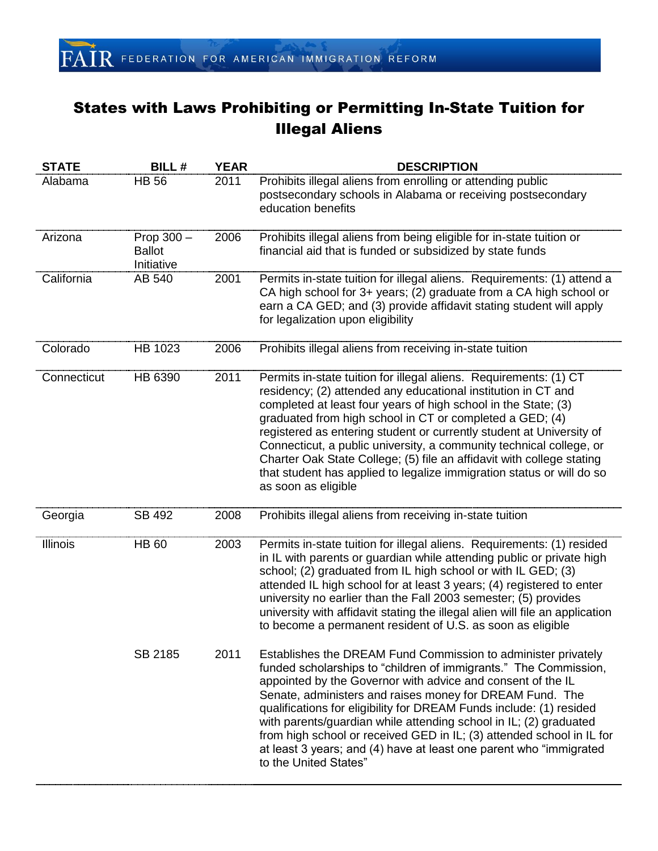## States with Laws Prohibiting or Permitting In-State Tuition for Illegal Aliens

| <b>STATE</b>    | <b>BILL#</b>                                | <b>YEAR</b> | <b>DESCRIPTION</b>                                                                                                                                                                                                                                                                                                                                                                                                                                                                                                                                                                       |
|-----------------|---------------------------------------------|-------------|------------------------------------------------------------------------------------------------------------------------------------------------------------------------------------------------------------------------------------------------------------------------------------------------------------------------------------------------------------------------------------------------------------------------------------------------------------------------------------------------------------------------------------------------------------------------------------------|
| Alabama         | <b>HB 56</b>                                | 2011        | Prohibits illegal aliens from enrolling or attending public<br>postsecondary schools in Alabama or receiving postsecondary<br>education benefits                                                                                                                                                                                                                                                                                                                                                                                                                                         |
| Arizona         | Prop $300 -$<br><b>Ballot</b><br>Initiative | 2006        | Prohibits illegal aliens from being eligible for in-state tuition or<br>financial aid that is funded or subsidized by state funds                                                                                                                                                                                                                                                                                                                                                                                                                                                        |
| California      | AB 540                                      | 2001        | Permits in-state tuition for illegal aliens. Requirements: (1) attend a<br>CA high school for 3+ years; (2) graduate from a CA high school or<br>earn a CA GED; and (3) provide affidavit stating student will apply<br>for legalization upon eligibility                                                                                                                                                                                                                                                                                                                                |
| Colorado        | HB 1023                                     | 2006        | Prohibits illegal aliens from receiving in-state tuition                                                                                                                                                                                                                                                                                                                                                                                                                                                                                                                                 |
| Connecticut     | HB 6390                                     | 2011        | Permits in-state tuition for illegal aliens. Requirements: (1) CT<br>residency; (2) attended any educational institution in CT and<br>completed at least four years of high school in the State; (3)<br>graduated from high school in CT or completed a GED; (4)<br>registered as entering student or currently student at University of<br>Connecticut, a public university, a community technical college, or<br>Charter Oak State College; (5) file an affidavit with college stating<br>that student has applied to legalize immigration status or will do so<br>as soon as eligible |
| Georgia         | SB 492                                      | 2008        | Prohibits illegal aliens from receiving in-state tuition                                                                                                                                                                                                                                                                                                                                                                                                                                                                                                                                 |
| <b>Illinois</b> | <b>HB 60</b>                                | 2003        | Permits in-state tuition for illegal aliens. Requirements: (1) resided<br>in IL with parents or guardian while attending public or private high<br>school; (2) graduated from IL high school or with IL GED; (3)<br>attended IL high school for at least 3 years; (4) registered to enter<br>university no earlier than the Fall 2003 semester; (5) provides<br>university with affidavit stating the illegal alien will file an application<br>to become a permanent resident of U.S. as soon as eligible                                                                               |
|                 | SB 2185                                     | 2011        | Establishes the DREAM Fund Commission to administer privately<br>funded scholarships to "children of immigrants." The Commission,<br>appointed by the Governor with advice and consent of the IL<br>Senate, administers and raises money for DREAM Fund. The<br>qualifications for eligibility for DREAM Funds include: (1) resided<br>with parents/guardian while attending school in IL; (2) graduated<br>from high school or received GED in IL; (3) attended school in IL for<br>at least 3 years; and (4) have at least one parent who "immigrated<br>to the United States"         |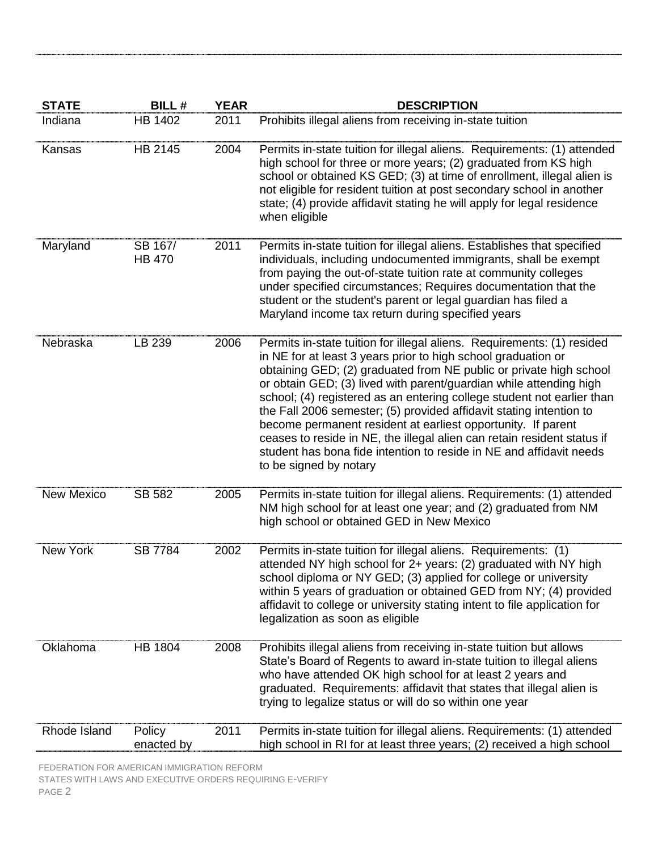| <b>STATE</b>      | <b>BILL#</b>             | <b>YEAR</b> | <b>DESCRIPTION</b>                                                                                                                                                                                                                                                                                                                                                                                                                                                                                                                                                                                                                                                               |
|-------------------|--------------------------|-------------|----------------------------------------------------------------------------------------------------------------------------------------------------------------------------------------------------------------------------------------------------------------------------------------------------------------------------------------------------------------------------------------------------------------------------------------------------------------------------------------------------------------------------------------------------------------------------------------------------------------------------------------------------------------------------------|
| Indiana           | HB 1402                  | 2011        | Prohibits illegal aliens from receiving in-state tuition                                                                                                                                                                                                                                                                                                                                                                                                                                                                                                                                                                                                                         |
| Kansas            | HB 2145                  | 2004        | Permits in-state tuition for illegal aliens. Requirements: (1) attended<br>high school for three or more years; (2) graduated from KS high<br>school or obtained KS GED; (3) at time of enrollment, illegal alien is<br>not eligible for resident tuition at post secondary school in another<br>state; (4) provide affidavit stating he will apply for legal residence<br>when eligible                                                                                                                                                                                                                                                                                         |
| Maryland          | SB 167/<br><b>HB 470</b> | 2011        | Permits in-state tuition for illegal aliens. Establishes that specified<br>individuals, including undocumented immigrants, shall be exempt<br>from paying the out-of-state tuition rate at community colleges<br>under specified circumstances; Requires documentation that the<br>student or the student's parent or legal guardian has filed a<br>Maryland income tax return during specified years                                                                                                                                                                                                                                                                            |
| Nebraska          | LB 239                   | 2006        | Permits in-state tuition for illegal aliens. Requirements: (1) resided<br>in NE for at least 3 years prior to high school graduation or<br>obtaining GED; (2) graduated from NE public or private high school<br>or obtain GED; (3) lived with parent/guardian while attending high<br>school; (4) registered as an entering college student not earlier than<br>the Fall 2006 semester; (5) provided affidavit stating intention to<br>become permanent resident at earliest opportunity. If parent<br>ceases to reside in NE, the illegal alien can retain resident status if<br>student has bona fide intention to reside in NE and affidavit needs<br>to be signed by notary |
| <b>New Mexico</b> | SB 582                   | 2005        | Permits in-state tuition for illegal aliens. Requirements: (1) attended<br>NM high school for at least one year; and (2) graduated from NM<br>high school or obtained GED in New Mexico                                                                                                                                                                                                                                                                                                                                                                                                                                                                                          |
| New York          | <b>SB 7784</b>           | 2002        | Permits in-state tuition for illegal aliens. Requirements: (1)<br>attended NY high school for 2+ years: (2) graduated with NY high<br>school diploma or NY GED; (3) applied for college or university<br>within 5 years of graduation or obtained GED from NY; (4) provided<br>affidavit to college or university stating intent to file application for<br>legalization as soon as eligible                                                                                                                                                                                                                                                                                     |
| Oklahoma          | <b>HB 1804</b>           | 2008        | Prohibits illegal aliens from receiving in-state tuition but allows<br>State's Board of Regents to award in-state tuition to illegal aliens<br>who have attended OK high school for at least 2 years and<br>graduated. Requirements: affidavit that states that illegal alien is<br>trying to legalize status or will do so within one year                                                                                                                                                                                                                                                                                                                                      |
| Rhode Island      | Policy<br>enacted by     | 2011        | Permits in-state tuition for illegal aliens. Requirements: (1) attended<br>high school in RI for at least three years; (2) received a high school                                                                                                                                                                                                                                                                                                                                                                                                                                                                                                                                |